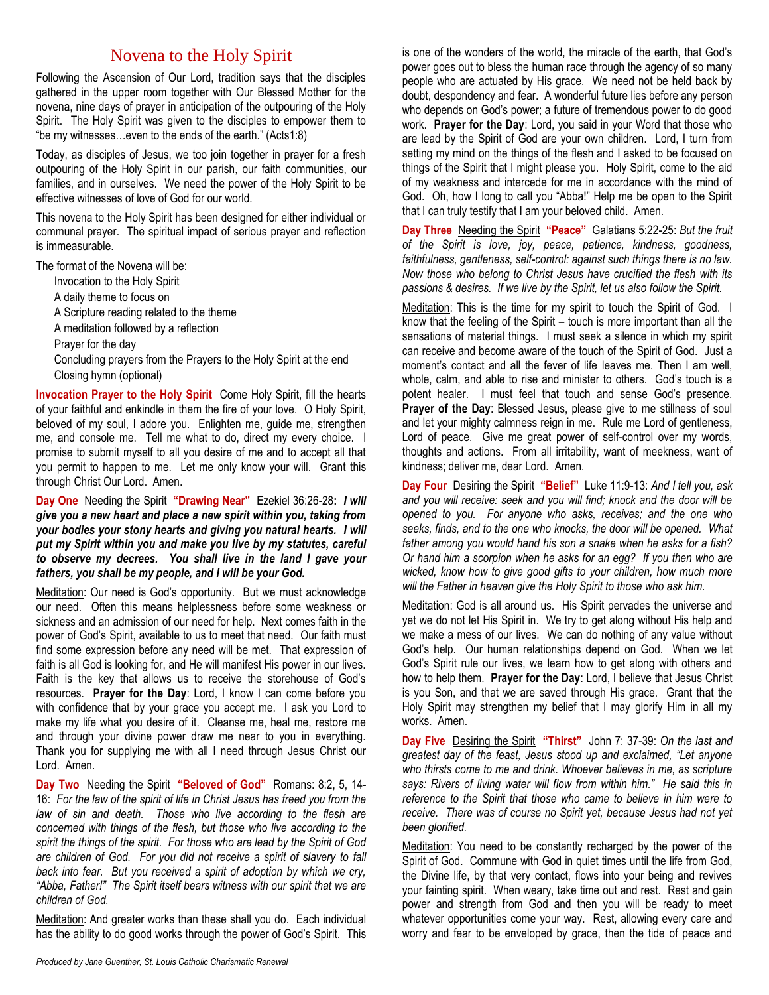## Novena to the Holy Spirit

Following the Ascension of Our Lord, tradition says that the disciples gathered in the upper room together with Our Blessed Mother for the novena, nine days of prayer in anticipation of the outpouring of the Holy Spirit. The Holy Spirit was given to the disciples to empower them to "be my witnesses…even to the ends of the earth." (Acts1:8)

Today, as disciples of Jesus, we too join together in prayer for a fresh outpouring of the Holy Spirit in our parish, our faith communities, our families, and in ourselves. We need the power of the Holy Spirit to be effective witnesses of love of God for our world.

This novena to the Holy Spirit has been designed for either individual or communal prayer. The spiritual impact of serious prayer and reflection is immeasurable.

The format of the Novena will be:

- Invocation to the Holy Spirit
- A daily theme to focus on
- A Scripture reading related to the theme
- A meditation followed by a reflection
- Prayer for the day
- Concluding prayers from the Prayers to the Holy Spirit at the end Closing hymn (optional)

**Invocation Prayer to the Holy Spirit** Come Holy Spirit, fill the hearts of your faithful and enkindle in them the fire of your love. O Holy Spirit, beloved of my soul, I adore you. Enlighten me, guide me, strengthen me, and console me. Tell me what to do, direct my every choice. I promise to submit myself to all you desire of me and to accept all that you permit to happen to me. Let me only know your will. Grant this through Christ Our Lord. Amen.

**Day One** Needing the Spirit **"Drawing Near"** Ezekiel 36:26-28**:** *I will give you a new heart and place a new spirit within you, taking from your bodies your stony hearts and giving you natural hearts. I will put my Spirit within you and make you live by my statutes, careful to observe my decrees. You shall live in the land I gave your fathers, you shall be my people, and I will be your God.*

Meditation: Our need is God's opportunity. But we must acknowledge our need. Often this means helplessness before some weakness or sickness and an admission of our need for help. Next comes faith in the power of God's Spirit, available to us to meet that need. Our faith must find some expression before any need will be met. That expression of faith is all God is looking for, and He will manifest His power in our lives. Faith is the key that allows us to receive the storehouse of God's resources. **Prayer for the Day**: Lord, I know I can come before you with confidence that by your grace you accept me. I ask you Lord to make my life what you desire of it. Cleanse me, heal me, restore me and through your divine power draw me near to you in everything. Thank you for supplying me with all I need through Jesus Christ our Lord. Amen.

**Day Two** Needing the Spirit **"Beloved of God"** Romans: 8:2, 5, 14- 16: *For the law of the spirit of life in Christ Jesus has freed you from the law of sin and death. Those who live according to the flesh are concerned with things of the flesh, but those who live according to the spirit the things of the spirit. For those who are lead by the Spirit of God are children of God. For you did not receive a spirit of slavery to fall back into fear. But you received a spirit of adoption by which we cry, "Abba, Father!" The Spirit itself bears witness with our spirit that we are children of God.*

Meditation: And greater works than these shall you do. Each individual has the ability to do good works through the power of God's Spirit. This is one of the wonders of the world, the miracle of the earth, that God's power goes out to bless the human race through the agency of so many people who are actuated by His grace. We need not be held back by doubt, despondency and fear. A wonderful future lies before any person who depends on God's power; a future of tremendous power to do good work. **Prayer for the Day**: Lord, you said in your Word that those who are lead by the Spirit of God are your own children. Lord, I turn from setting my mind on the things of the flesh and I asked to be focused on things of the Spirit that I might please you. Holy Spirit, come to the aid of my weakness and intercede for me in accordance with the mind of God. Oh, how I long to call you "Abba!" Help me be open to the Spirit that I can truly testify that I am your beloved child. Amen.

**Day Three** Needing the Spirit **"Peace"** Galatians 5:22-25: *But the fruit of the Spirit is love, joy, peace, patience, kindness, goodness, faithfulness, gentleness, self-control: against such things there is no law. Now those who belong to Christ Jesus have crucified the flesh with its passions & desires. If we live by the Spirit, let us also follow the Spirit.*

Meditation: This is the time for my spirit to touch the Spirit of God. I know that the feeling of the Spirit – touch is more important than all the sensations of material things. I must seek a silence in which my spirit can receive and become aware of the touch of the Spirit of God. Just a moment's contact and all the fever of life leaves me. Then I am well, whole, calm, and able to rise and minister to others. God's touch is a potent healer. I must feel that touch and sense God's presence. **Prayer of the Day**: Blessed Jesus, please give to me stillness of soul and let your mighty calmness reign in me. Rule me Lord of gentleness, Lord of peace. Give me great power of self-control over my words, thoughts and actions. From all irritability, want of meekness, want of kindness; deliver me, dear Lord. Amen.

**Day Four** Desiring the Spirit **"Belief"** Luke 11:9-13: *And I tell you, ask and you will receive: seek and you will find; knock and the door will be opened to you. For anyone who asks, receives; and the one who seeks, finds, and to the one who knocks, the door will be opened. What father among you would hand his son a snake when he asks for a fish? Or hand him a scorpion when he asks for an egg? If you then who are wicked, know how to give good gifts to your children, how much more will the Father in heaven give the Holy Spirit to those who ask him.*

Meditation: God is all around us. His Spirit pervades the universe and yet we do not let His Spirit in. We try to get along without His help and we make a mess of our lives. We can do nothing of any value without God's help. Our human relationships depend on God. When we let God's Spirit rule our lives, we learn how to get along with others and how to help them. **Prayer for the Day**: Lord, I believe that Jesus Christ is you Son, and that we are saved through His grace. Grant that the Holy Spirit may strengthen my belief that I may glorify Him in all my works. Amen.

**Day Five** Desiring the Spirit **"Thirst"** John 7: 37-39: *On the last and greatest day of the feast, Jesus stood up and exclaimed, "Let anyone who thirsts come to me and drink. Whoever believes in me, as scripture says: Rivers of living water will flow from within him." He said this in reference to the Spirit that those who came to believe in him were to receive. There was of course no Spirit yet, because Jesus had not yet been glorified.*

Meditation: You need to be constantly recharged by the power of the Spirit of God. Commune with God in quiet times until the life from God, the Divine life, by that very contact, flows into your being and revives your fainting spirit. When weary, take time out and rest. Rest and gain power and strength from God and then you will be ready to meet whatever opportunities come your way. Rest, allowing every care and worry and fear to be enveloped by grace, then the tide of peace and